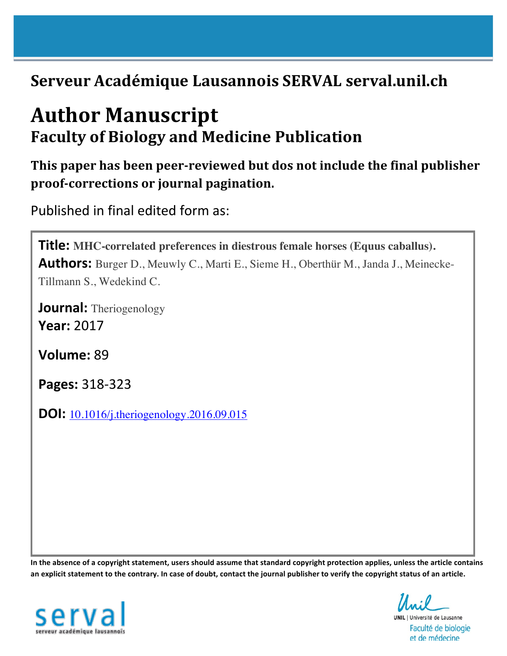# **Serveur Académique Lausannois SERVAL serval.unil.ch**

# **Author Manuscript Faculty of Biology and Medicine Publication**

**This paper has been peer-reviewed but dos not include the final publisher proof-corrections or journal pagination.**

Published in final edited form as:

**Title: MHC-correlated preferences in diestrous female horses (Equus caballus). Authors:** Burger D., Meuwly C., Marti E., Sieme H., Oberthür M., Janda J., Meinecke-Tillmann S., Wedekind C.

**Journal:** Theriogenology **Year:** 2017

**Volume:** 89

**Pages:** 318-323

**DOI:** 10.1016/j.theriogenology.2016.09.015

In the absence of a copyright statement, users should assume that standard copyright protection applies, unless the article contains an explicit statement to the contrary. In case of doubt, contact the journal publisher to verify the copyright status of an article.



**UNIL** | Université de Lausanne

Faculté de biologie et de médecine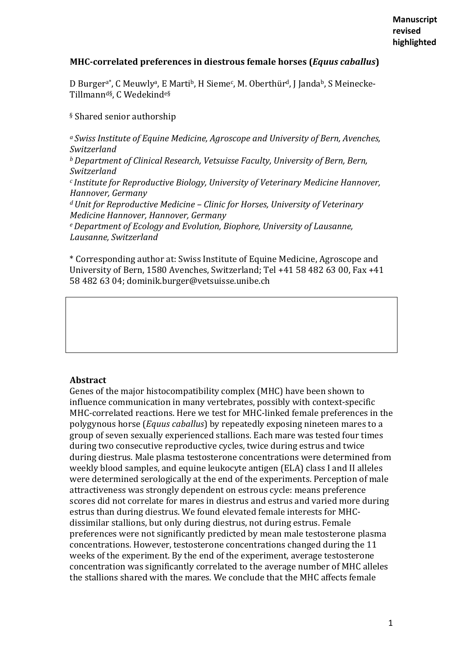# **MHC-correlated preferences in diestrous female horses (***Equus caballus***)**

D Burger<sup>a\*</sup>, C Meuwly<sup>a</sup>, E Marti<sup>b</sup>, H Sieme<sup>c</sup>, M. Oberthür<sup>d</sup>, J Janda<sup>b</sup>, S Meinecke-Tillmann<sup>d§</sup>, C Wedekind<sup>e§</sup>

#### § Shared senior authorship

a Swiss Institute of Equine Medicine, Agroscope and University of Bern, Avenches, *Switzerland b* Department of Clinical Research, Vetsuisse Faculty, University of Bern, Bern, *Switzerland c* Institute for Reproductive Biology, University of Veterinary Medicine Hannover, *Hannover, Germany d* Unit for Reproductive Medicine – Clinic for Horses, University of Veterinary *Medicine Hannover, Hannover, Germany e* Department of Ecology and Evolution, Biophore, University of Lausanne, *Lausanne, Switzerland*

\* Corresponding author at: Swiss Institute of Equine Medicine, Agroscope and University of Bern, 1580 Avenches, Switzerland; Tel +41 58 482 63 00, Fax +41 58 482 63 04; dominik.burger@vetsuisse.unibe.ch

# **Abstract**

Genes of the major histocompatibility complex (MHC) have been shown to influence communication in many vertebrates, possibly with context-specific MHC-correlated reactions. Here we test for MHC-linked female preferences in the polygynous horse (*Equus caballus*) by repeatedly exposing nineteen mares to a group of seven sexually experienced stallions. Each mare was tested four times during two consecutive reproductive cycles, twice during estrus and twice during diestrus. Male plasma testosterone concentrations were determined from weekly blood samples, and equine leukocyte antigen (ELA) class I and II alleles were determined serologically at the end of the experiments. Perception of male attractiveness was strongly dependent on estrous cycle: means preference scores did not correlate for mares in diestrus and estrus and varied more during estrus than during diestrus. We found elevated female interests for MHCdissimilar stallions, but only during diestrus, not during estrus. Female preferences were not significantly predicted by mean male testosterone plasma concentrations. However, testosterone concentrations changed during the 11 weeks of the experiment. By the end of the experiment, average testosterone concentration was significantly correlated to the average number of MHC alleles the stallions shared with the mares. We conclude that the MHC affects female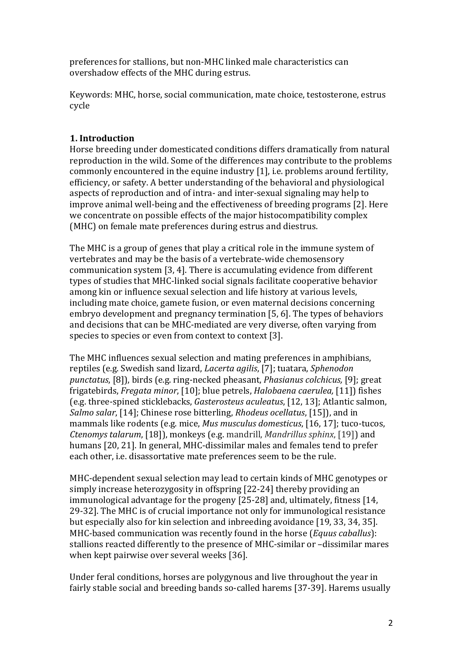preferences for stallions, but non-MHC linked male characteristics can overshadow effects of the MHC during estrus.

Keywords: MHC, horse, social communication, mate choice, testosterone, estrus cycle

# **1. Introduction**

Horse breeding under domesticated conditions differs dramatically from natural reproduction in the wild. Some of the differences may contribute to the problems commonly encountered in the equine industry [1], i.e. problems around fertility, efficiency, or safety. A better understanding of the behavioral and physiological aspects of reproduction and of intra- and inter-sexual signaling may help to improve animal well-being and the effectiveness of breeding programs [2]. Here we concentrate on possible effects of the major histocompatibility complex (MHC) on female mate preferences during estrus and diestrus.

The MHC is a group of genes that play a critical role in the immune system of vertebrates and may be the basis of a vertebrate-wide chemosensory communication system  $[3, 4]$ . There is accumulating evidence from different types of studies that MHC-linked social signals facilitate cooperative behavior among kin or influence sexual selection and life history at various levels, including mate choice, gamete fusion, or even maternal decisions concerning embryo development and pregnancy termination [5, 6]. The types of behaviors and decisions that can be MHC-mediated are very diverse, often varying from species to species or even from context to context [3].

The MHC influences sexual selection and mating preferences in amphibians, reptiles (e.g. Swedish sand lizard, *Lacerta agilis*, [7]; tuatara, *Sphenodon punctatus*, [8]), birds (e.g. ring-necked pheasant, *Phasianus colchicus,* [9]; great frigatebirds, *Fregata minor*, [10]; blue petrels, *Halobaena caerulea,* [11]) fishes (e.g. three-spined sticklebacks, *Gasterosteus aculeatus*, [12, 13]; Atlantic salmon, *Salmo salar*, [14]; Chinese rose bitterling, *Rhodeus ocellatus*, [15]), and in mammals like rodents (e.g. mice, *Mus musculus domesticus*, [16, 17]; tuco-tucos, *Ctenomys talarum*, [18]), monkeys (e.g. mandrill, *Mandrillus sphinx*, [19]) and humans [20, 21]. In general, MHC-dissimilar males and females tend to prefer each other, *i.e.* disassortative mate preferences seem to be the rule.

MHC-dependent sexual selection may lead to certain kinds of MHC genotypes or simply increase heterozygosity in offspring [22-24] thereby providing an immunological advantage for the progeny  $[25-28]$  and, ultimately, fitness  $[14, 16]$ 29-32]. The MHC is of crucial importance not only for immunological resistance but especially also for kin selection and inbreeding avoidance [19, 33, 34, 35]. MHC-based communication was recently found in the horse (*Equus caballus*): stallions reacted differently to the presence of MHC-similar or -dissimilar mares when kept pairwise over several weeks [36].

Under feral conditions, horses are polygynous and live throughout the year in fairly stable social and breeding bands so-called harems [37-39]. Harems usually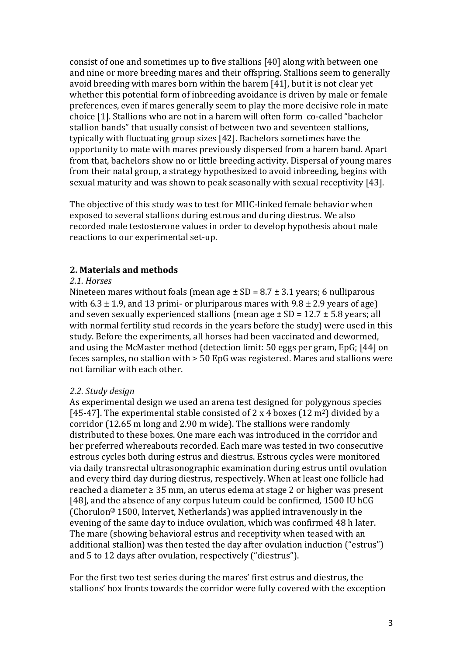consist of one and sometimes up to five stallions [40] along with between one and nine or more breeding mares and their offspring. Stallions seem to generally avoid breeding with mares born within the harem [41], but it is not clear yet whether this potential form of inbreeding avoidance is driven by male or female preferences, even if mares generally seem to play the more decisive role in mate choice [1]. Stallions who are not in a harem will often form co-called "bachelor stallion bands" that usually consist of between two and seventeen stallions, typically with fluctuating group sizes [42]. Bachelors sometimes have the opportunity to mate with mares previously dispersed from a harem band. Apart from that, bachelors show no or little breeding activity. Dispersal of young mares from their natal group, a strategy hypothesized to avoid inbreeding, begins with sexual maturity and was shown to peak seasonally with sexual receptivity [43].

The objective of this study was to test for MHC-linked female behavior when exposed to several stallions during estrous and during diestrus. We also recorded male testosterone values in order to develop hypothesis about male reactions to our experimental set-up.

#### **2. Materials and methods**

#### *2.1. Horses*

Nineteen mares without foals (mean age  $\pm$  SD = 8.7  $\pm$  3.1 years; 6 nulliparous with  $6.3 \pm 1.9$ , and 13 primi- or pluriparous mares with  $9.8 \pm 2.9$  years of age) and seven sexually experienced stallions (mean age  $\pm$  SD = 12.7  $\pm$  5.8 years; all with normal fertility stud records in the vears before the study) were used in this study. Before the experiments, all horses had been vaccinated and dewormed, and using the McMaster method (detection limit: 50 eggs per gram, EpG: [44] on feces samples, no stallion with > 50 EpG was registered. Mares and stallions were not familiar with each other.

#### *2.2. Study design*

As experimental design we used an arena test designed for polygynous species [45-47]. The experimental stable consisted of 2 x 4 boxes (12 m<sup>2</sup>) divided by a corridor (12.65 m long and 2.90 m wide). The stallions were randomly distributed to these boxes. One mare each was introduced in the corridor and her preferred whereabouts recorded. Each mare was tested in two consecutive estrous cycles both during estrus and diestrus. Estrous cycles were monitored via daily transrectal ultrasonographic examination during estrus until ovulation and every third day during diestrus, respectively. When at least one follicle had reached a diameter  $\geq 35$  mm, an uterus edema at stage 2 or higher was present [48], and the absence of any corpus luteum could be confirmed, 1500 IU hCG (Chorulon<sup>®</sup> 1500, Intervet, Netherlands) was applied intravenously in the evening of the same day to induce ovulation, which was confirmed 48 h later. The mare (showing behavioral estrus and receptivity when teased with an additional stallion) was then tested the day after ovulation induction ("estrus") and 5 to 12 days after ovulation, respectively ("diestrus").

For the first two test series during the mares' first estrus and diestrus, the stallions' box fronts towards the corridor were fully covered with the exception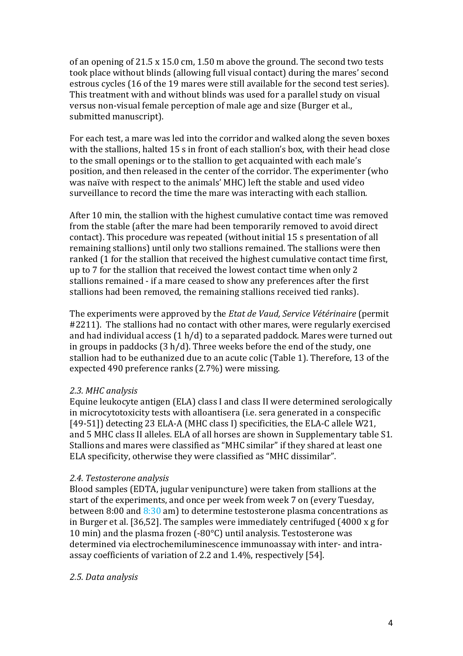of an opening of  $21.5 \times 15.0 \text{ cm}$ ,  $1.50 \text{ m}$  above the ground. The second two tests took place without blinds (allowing full visual contact) during the mares' second estrous cycles (16 of the 19 mares were still available for the second test series). This treatment with and without blinds was used for a parallel study on visual versus non-visual female perception of male age and size (Burger et al., submitted manuscript).

For each test, a mare was led into the corridor and walked along the seven boxes with the stallions, halted 15 s in front of each stallion's box, with their head close to the small openings or to the stallion to get acquainted with each male's position, and then released in the center of the corridor. The experimenter (who was naïve with respect to the animals' MHC) left the stable and used video surveillance to record the time the mare was interacting with each stallion.

After 10 min, the stallion with the highest cumulative contact time was removed from the stable (after the mare had been temporarily removed to avoid direct contact). This procedure was repeated (without initial 15 s presentation of all remaining stallions) until only two stallions remained. The stallions were then ranked (1 for the stallion that received the highest cumulative contact time first, up to 7 for the stallion that received the lowest contact time when only 2 stallions remained - if a mare ceased to show any preferences after the first stallions had been removed, the remaining stallions received tied ranks).

The experiments were approved by the *Etat de Vaud, Service Vétérinaire* (permit #2211). The stallions had no contact with other mares, were regularly exercised and had individual access  $(1 h/d)$  to a separated paddock. Mares were turned out in groups in paddocks  $(3 h/d)$ . Three weeks before the end of the study, one stallion had to be euthanized due to an acute colic (Table 1). Therefore, 13 of the expected 490 preference ranks (2.7%) were missing.

# *2.3. MHC analysis*

Equine leukocyte antigen (ELA) class I and class II were determined serologically in microcytotoxicity tests with alloantisera (i.e. sera generated in a conspecific [49-51]) detecting 23 ELA-A (MHC class I) specificities, the ELA-C allele W21, and 5 MHC class II alleles. ELA of all horses are shown in Supplementary table S1. Stallions and mares were classified as "MHC similar" if they shared at least one ELA specificity, otherwise they were classified as "MHC dissimilar".

# *2.4. Testosterone analysis*

Blood samples (EDTA, jugular venipuncture) were taken from stallions at the start of the experiments, and once per week from week 7 on (every Tuesday, between  $8:00$  and  $8:30$  am) to determine testosterone plasma concentrations as in Burger et al. [36,52]. The samples were immediately centrifuged  $(4000 \times g$  for 10 min) and the plasma frozen  $(-80^{\circ}C)$  until analysis. Testosterone was determined via electrochemiluminescence immunoassay with inter- and intraassay coefficients of variation of 2.2 and 1.4%, respectively [54].

# *2.5. Data analysis*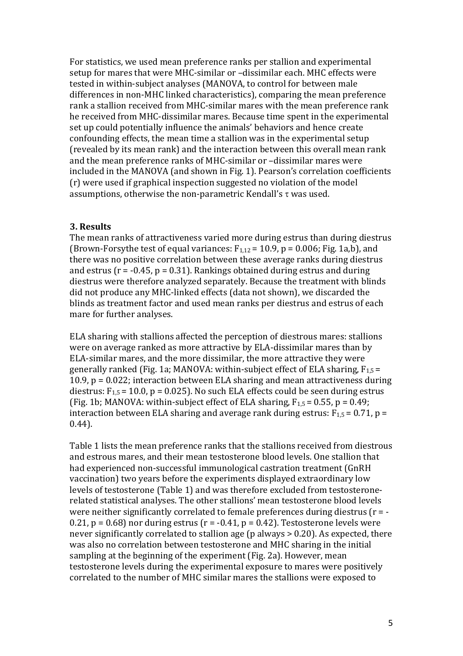For statistics, we used mean preference ranks per stallion and experimental setup for mares that were MHC-similar or -dissimilar each. MHC effects were tested in within-subject analyses (MANOVA, to control for between male differences in non-MHC linked characteristics), comparing the mean preference rank a stallion received from MHC-similar mares with the mean preference rank he received from MHC-dissimilar mares. Because time spent in the experimental set up could potentially influence the animals' behaviors and hence create confounding effects, the mean time a stallion was in the experimental setup (revealed by its mean rank) and the interaction between this overall mean rank and the mean preference ranks of MHC-similar or -dissimilar mares were included in the MANOVA (and shown in Fig. 1). Pearson's correlation coefficients (r) were used if graphical inspection suggested no violation of the model assumptions, otherwise the non-parametric Kendall's  $\tau$  was used.

#### **3. Results**

The mean ranks of attractiveness varied more during estrus than during diestrus (Brown-Forsythe test of equal variances:  $F_{1,12} = 10.9$ ,  $p = 0.006$ ; Fig. 1a,b), and there was no positive correlation between these average ranks during diestrus and estrus  $(r = -0.45, p = 0.31)$ . Rankings obtained during estrus and during diestrus were therefore analyzed separately. Because the treatment with blinds did not produce any MHC-linked effects (data not shown), we discarded the blinds as treatment factor and used mean ranks per diestrus and estrus of each mare for further analyses.

ELA sharing with stallions affected the perception of diestrous mares: stallions were on average ranked as more attractive by ELA-dissimilar mares than by ELA-similar mares, and the more dissimilar, the more attractive they were generally ranked (Fig. 1a; MANOVA: within-subject effect of ELA sharing,  $F_{1,5}$  = 10.9,  $p = 0.022$ ; interaction between ELA sharing and mean attractiveness during diestrus:  $F_{1,5}$  = 10.0, p = 0.025). No such ELA effects could be seen during estrus (Fig. 1b; MANOVA: within-subject effect of ELA sharing,  $F_{1,5} = 0.55$ ,  $p = 0.49$ ; interaction between ELA sharing and average rank during estrus:  $F_{1,5} = 0.71$ , p = 0.44).

Table 1 lists the mean preference ranks that the stallions received from diestrous and estrous mares, and their mean testosterone blood levels. One stallion that had experienced non-successful immunological castration treatment (GnRH) vaccination) two years before the experiments displayed extraordinary low levels of testosterone (Table 1) and was therefore excluded from testosteronerelated statistical analyses. The other stallions' mean testosterone blood levels were neither significantly correlated to female preferences during diestrus  $(r = -1)$ 0.21,  $p = 0.68$ ) nor during estrus ( $r = -0.41$ ,  $p = 0.42$ ). Testosterone levels were never significantly correlated to stallion age ( $p$  always  $> 0.20$ ). As expected, there was also no correlation between testosterone and MHC sharing in the initial sampling at the beginning of the experiment (Fig. 2a). However, mean testosterone levels during the experimental exposure to mares were positively correlated to the number of MHC similar mares the stallions were exposed to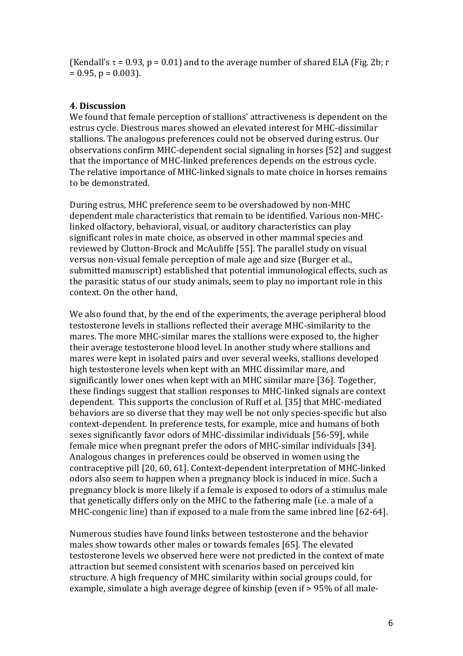(Kendall's  $\tau$  = 0.93, p = 0.01) and to the average number of shared ELA (Fig. 2b; r  $= 0.95$ ,  $p = 0.003$ ).

#### **4. Discussion**

We found that female perception of stallions' attractiveness is dependent on the estrus cycle. Diestrous mares showed an elevated interest for MHC-dissimilar stallions. The analogous preferences could not be observed during estrus. Our observations confirm MHC-dependent social signaling in horses [52] and suggest that the importance of MHC-linked preferences depends on the estrous cycle. The relative importance of MHC-linked signals to mate choice in horses remains to be demonstrated.

During estrus, MHC preference seem to be overshadowed by non-MHC dependent male characteristics that remain to be identified. Various non-MHClinked olfactory, behavioral, visual, or auditory characteristics can play significant roles in mate choice, as observed in other mammal species and reviewed by Clutton-Brock and McAuliffe [55]. The parallel study on visual versus non-visual female perception of male age and size (Burger et al., submitted manuscript) established that potential immunological effects, such as the parasitic status of our study animals, seem to play no important role in this context. On the other hand,

We also found that, by the end of the experiments, the average peripheral blood testosterone levels in stallions reflected their average MHC-similarity to the mares. The more MHC-similar mares the stallions were exposed to, the higher their average testosterone blood level. In another study where stallions and mares were kept in isolated pairs and over several weeks, stallions developed high testosterone levels when kept with an MHC dissimilar mare, and significantly lower ones when kept with an MHC similar mare [36]. Together, these findings suggest that stallion responses to MHC-linked signals are context dependent. This supports the conclusion of Ruff et al. [35] that MHC-mediated behaviors are so diverse that they may well be not only species-specific but also context-dependent. In preference tests, for example, mice and humans of both sexes significantly favor odors of MHC-dissimilar individuals [56-59], while female mice when pregnant prefer the odors of MHC-similar individuals [34]. Analogous changes in preferences could be observed in women using the contraceptive pill [20, 60, 61]. Context-dependent interpretation of MHC-linked odors also seem to happen when a pregnancy block is induced in mice. Such a pregnancy block is more likely if a female is exposed to odors of a stimulus male that genetically differs only on the MHC to the fathering male (i.e. a male of a MHC-congenic line) than if exposed to a male from the same inbred line  $[62-64]$ .

Numerous studies have found links between testosterone and the behavior males show towards other males or towards females [65]. The elevated testosterone levels we observed here were not predicted in the context of mate attraction but seemed consistent with scenarios based on perceived kin structure. A high frequency of MHC similarity within social groups could, for example, simulate a high average degree of kinship (even if > 95% of all male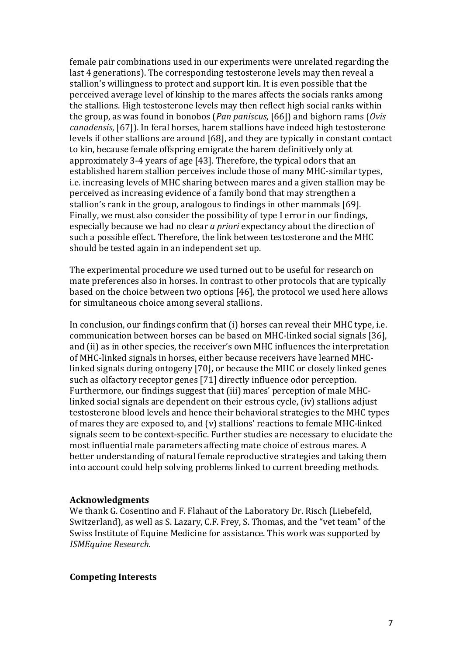female pair combinations used in our experiments were unrelated regarding the last 4 generations). The corresponding testosterone levels may then reveal a stallion's willingness to protect and support kin. It is even possible that the perceived average level of kinship to the mares affects the socials ranks among the stallions. High testosterone levels may then reflect high social ranks within the group, as was found in bonobos (*Pan paniscus*, [66]) and bighorn rams (*Ovis canadensis*, [67]). In feral horses, harem stallions have indeed high testosterone levels if other stallions are around [68], and they are typically in constant contact to kin, because female offspring emigrate the harem definitively only at approximately 3-4 years of age [43]. Therefore, the typical odors that an established harem stallion perceives include those of many MHC-similar types, i.e. increasing levels of MHC sharing between mares and a given stallion may be perceived as increasing evidence of a family bond that may strengthen a stallion's rank in the group, analogous to findings in other mammals [69]. Finally, we must also consider the possibility of type I error in our findings, especially because we had no clear *a priori* expectancy about the direction of such a possible effect. Therefore, the link between testosterone and the MHC should be tested again in an independent set up.

The experimental procedure we used turned out to be useful for research on mate preferences also in horses. In contrast to other protocols that are typically based on the choice between two options [46], the protocol we used here allows for simultaneous choice among several stallions.

In conclusion, our findings confirm that  $(i)$  horses can reveal their MHC type, i.e. communication between horses can be based on MHC-linked social signals [36], and (ii) as in other species, the receiver's own MHC influences the interpretation of MHC-linked signals in horses, either because receivers have learned MHClinked signals during ontogeny [70], or because the MHC or closely linked genes such as olfactory receptor genes [71] directly influence odor perception. Furthermore, our findings suggest that (iii) mares' perception of male MHClinked social signals are dependent on their estrous cycle, (iv) stallions adjust testosterone blood levels and hence their behavioral strategies to the MHC types of mares they are exposed to, and  $(v)$  stallions' reactions to female MHC-linked signals seem to be context-specific. Further studies are necessary to elucidate the most influential male parameters affecting mate choice of estrous mares. A better understanding of natural female reproductive strategies and taking them into account could help solving problems linked to current breeding methods.

#### **Acknowledgments**

We thank G. Cosentino and F. Flahaut of the Laboratory Dr. Risch (Liebefeld, Switzerland), as well as S. Lazary, C.F. Frey, S. Thomas, and the "vet team" of the Swiss Institute of Equine Medicine for assistance. This work was supported by *ISMEquine Research.*

#### **Competing Interests**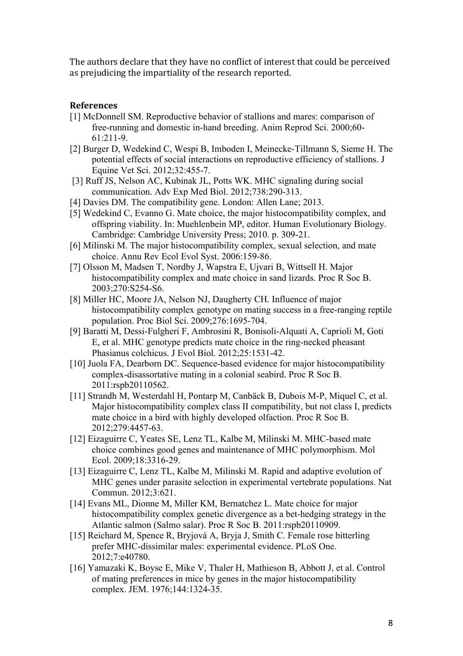The authors declare that they have no conflict of interest that could be perceived as prejudicing the impartiality of the research reported.

#### **References**

- [1] McDonnell SM. Reproductive behavior of stallions and mares: comparison of free-running and domestic in-hand breeding. Anim Reprod Sci. 2000;60-  $61.211 - 9$
- [2] Burger D, Wedekind C, Wespi B, Imboden I, Meinecke-Tillmann S, Sieme H. The potential effects of social interactions on reproductive efficiency of stallions. J Equine Vet Sci. 2012;32:455-7.
- [3] Ruff JS, Nelson AC, Kubinak JL, Potts WK. MHC signaling during social communication. Adv Exp Med Biol. 2012;738:290-313.
- [4] Davies DM. The compatibility gene. London: Allen Lane; 2013.
- [5] Wedekind C, Evanno G. Mate choice, the major histocompatibility complex, and offspring viability. In: Muehlenbein MP, editor. Human Evolutionary Biology. Cambridge: Cambridge University Press; 2010. p. 309-21.
- [6] Milinski M. The major histocompatibility complex, sexual selection, and mate choice. Annu Rev Ecol Evol Syst. 2006:159-86.
- [7] Olsson M, Madsen T, Nordby J, Wapstra E, Ujvari B, Wittsell H. Major histocompatibility complex and mate choice in sand lizards. Proc R Soc B. 2003;270:S254-S6.
- [8] Miller HC, Moore JA, Nelson NJ, Daugherty CH. Influence of major histocompatibility complex genotype on mating success in a free-ranging reptile population. Proc Biol Sci. 2009;276:1695-704.
- [9] Baratti M, Dessi-Fulgheri F, Ambrosini R, Bonisoli-Alquati A, Caprioli M, Goti E, et al. MHC genotype predicts mate choice in the ring-necked pheasant Phasianus colchicus. J Evol Biol. 2012;25:1531-42.
- [10] Juola FA, Dearborn DC. Sequence-based evidence for major histocompatibility complex-disassortative mating in a colonial seabird. Proc R Soc B. 2011:rspb20110562.
- [11] Strandh M, Westerdahl H, Pontarp M, Canbäck B, Dubois M-P, Miquel C, et al. Major histocompatibility complex class II compatibility, but not class I, predicts mate choice in a bird with highly developed olfaction. Proc R Soc B. 2012;279:4457-63.
- [12] Eizaguirre C, Yeates SE, Lenz TL, Kalbe M, Milinski M. MHC-based mate choice combines good genes and maintenance of MHC polymorphism. Mol Ecol. 2009;18:3316-29.
- [13] Eizaguirre C, Lenz TL, Kalbe M, Milinski M. Rapid and adaptive evolution of MHC genes under parasite selection in experimental vertebrate populations. Nat Commun. 2012;3:621.
- [14] Evans ML, Dionne M, Miller KM, Bernatchez L. Mate choice for major histocompatibility complex genetic divergence as a bet-hedging strategy in the Atlantic salmon (Salmo salar). Proc R Soc B. 2011:rspb20110909.
- [15] Reichard M, Spence R, Bryjová A, Bryja J, Smith C. Female rose bitterling prefer MHC-dissimilar males: experimental evidence. PLoS One. 2012;7:e40780.
- [16] Yamazaki K, Boyse E, Mike V, Thaler H, Mathieson B, Abbott J, et al. Control of mating preferences in mice by genes in the major histocompatibility complex. JEM. 1976;144:1324-35.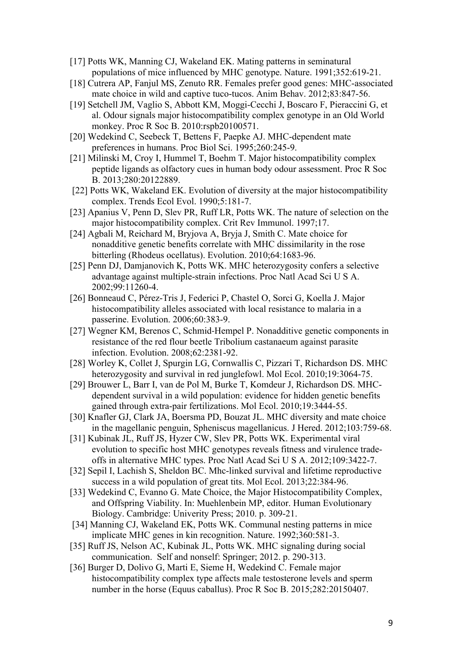- [17] Potts WK, Manning CJ, Wakeland EK. Mating patterns in seminatural populations of mice influenced by MHC genotype. Nature. 1991;352:619-21.
- [18] Cutrera AP, Fanjul MS, Zenuto RR. Females prefer good genes: MHC-associated mate choice in wild and captive tuco-tucos. Anim Behav. 2012;83:847-56.
- [19] Setchell JM, Vaglio S, Abbott KM, Moggi-Cecchi J, Boscaro F, Pieraccini G, et al. Odour signals major histocompatibility complex genotype in an Old World monkey. Proc R Soc B. 2010:rspb20100571.
- [20] Wedekind C, Seebeck T, Bettens F, Paepke AJ. MHC-dependent mate preferences in humans. Proc Biol Sci. 1995;260:245-9.
- [21] Milinski M, Croy I, Hummel T, Boehm T. Major histocompatibility complex peptide ligands as olfactory cues in human body odour assessment. Proc R Soc B. 2013;280:20122889.
- [22] Potts WK, Wakeland EK. Evolution of diversity at the major histocompatibility complex. Trends Ecol Evol. 1990;5:181-7.
- [23] Apanius V, Penn D, Slev PR, Ruff LR, Potts WK. The nature of selection on the major histocompatibility complex. Crit Rev Immunol. 1997;17.
- [24] Agbali M, Reichard M, Bryjova A, Bryja J, Smith C. Mate choice for nonadditive genetic benefits correlate with MHC dissimilarity in the rose bitterling (Rhodeus ocellatus). Evolution. 2010;64:1683-96.
- [25] Penn DJ, Damjanovich K, Potts WK. MHC heterozygosity confers a selective advantage against multiple-strain infections. Proc Natl Acad Sci U S A. 2002;99:11260-4.
- [26] Bonneaud C, Pérez-Tris J, Federici P, Chastel O, Sorci G, Koella J. Major histocompatibility alleles associated with local resistance to malaria in a passerine. Evolution. 2006;60:383-9.
- [27] Wegner KM, Berenos C, Schmid-Hempel P. Nonadditive genetic components in resistance of the red flour beetle Tribolium castanaeum against parasite infection. Evolution. 2008;62:2381-92.
- [28] Worley K, Collet J, Spurgin LG, Cornwallis C, Pizzari T, Richardson DS. MHC heterozygosity and survival in red junglefowl. Mol Ecol. 2010;19:3064-75.
- [29] Brouwer L, Barr I, van de Pol M, Burke T, Komdeur J, Richardson DS. MHCdependent survival in a wild population: evidence for hidden genetic benefits gained through extra-pair fertilizations. Mol Ecol. 2010;19:3444-55.
- [30] Knafler GJ, Clark JA, Boersma PD, Bouzat JL. MHC diversity and mate choice in the magellanic penguin, Spheniscus magellanicus. J Hered. 2012;103:759-68.
- [31] Kubinak JL, Ruff JS, Hyzer CW, Slev PR, Potts WK. Experimental viral evolution to specific host MHC genotypes reveals fitness and virulence tradeoffs in alternative MHC types. Proc Natl Acad Sci U S A. 2012;109:3422-7.
- [32] Sepil I, Lachish S, Sheldon BC. Mhc-linked survival and lifetime reproductive success in a wild population of great tits. Mol Ecol. 2013;22:384-96.
- [33] Wedekind C, Evanno G. Mate Choice, the Major Histocompatibility Complex, and Offspring Viability. In: Muehlenbein MP, editor. Human Evolutionary Biology. Cambridge: Univerity Press; 2010. p. 309-21.
- [34] Manning CJ, Wakeland EK, Potts WK. Communal nesting patterns in mice implicate MHC genes in kin recognition. Nature. 1992;360:581-3.
- [35] Ruff JS, Nelson AC, Kubinak JL, Potts WK. MHC signaling during social communication. Self and nonself: Springer; 2012. p. 290-313.
- [36] Burger D, Dolivo G, Marti E, Sieme H, Wedekind C. Female major histocompatibility complex type affects male testosterone levels and sperm number in the horse (Equus caballus). Proc R Soc B. 2015;282:20150407.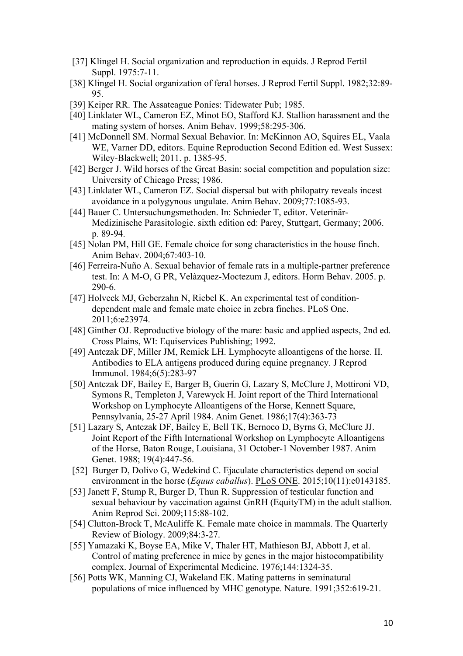- [37] Klingel H. Social organization and reproduction in equids. J Reprod Fertil Suppl. 1975:7-11.
- [38] Klingel H. Social organization of feral horses. J Reprod Fertil Suppl. 1982;32:89- 95.
- [39] Keiper RR. The Assateague Ponies: Tidewater Pub; 1985.
- [40] Linklater WL, Cameron EZ, Minot EO, Stafford KJ. Stallion harassment and the mating system of horses. Anim Behav. 1999;58:295-306.
- [41] McDonnell SM. Normal Sexual Behavior. In: McKinnon AO, Squires EL, Vaala WE, Varner DD, editors. Equine Reproduction Second Edition ed. West Sussex: Wiley-Blackwell; 2011. p. 1385-95.
- [42] Berger J. Wild horses of the Great Basin: social competition and population size: University of Chicago Press; 1986.
- [43] Linklater WL, Cameron EZ. Social dispersal but with philopatry reveals incest avoidance in a polygynous ungulate. Anim Behav. 2009;77:1085-93.
- [44] Bauer C. Untersuchungsmethoden. In: Schnieder T, editor. Veterinär-Medizinische Parasitologie. sixth edition ed: Parey, Stuttgart, Germany; 2006. p. 89-94.
- [45] Nolan PM, Hill GE. Female choice for song characteristics in the house finch. Anim Behav. 2004;67:403-10.
- [46] Ferreira-Nuño A. Sexual behavior of female rats in a multiple-partner preference test. In: A M-O, G PR, Velàzquez-Moctezum J, editors. Horm Behav. 2005. p. 290-6.
- [47] Holveck MJ, Geberzahn N, Riebel K. An experimental test of conditiondependent male and female mate choice in zebra finches. PLoS One. 2011;6:e23974.
- [48] Ginther OJ. Reproductive biology of the mare: basic and applied aspects, 2nd ed. Cross Plains, WI: Equiservices Publishing; 1992.
- [49] Antczak DF, Miller JM, Remick LH. Lymphocyte alloantigens of the horse. II. Antibodies to ELA antigens produced during equine pregnancy. J Reprod Immunol. 1984;6(5):283-97
- [50] Antczak DF, Bailey E, Barger B, Guerin G, Lazary S, McClure J, Mottironi VD, Symons R, Templeton J, Varewyck H. Joint report of the Third International Workshop on Lymphocyte Alloantigens of the Horse, Kennett Square, Pennsylvania, 25-27 April 1984. Anim Genet. 1986;17(4):363-73
- [51] Lazary S, Antczak DF, Bailey E, Bell TK, Bernoco D, Byrns G, McClure JJ. Joint Report of the Fifth International Workshop on Lymphocyte Alloantigens of the Horse, Baton Rouge, Louisiana, 31 October-1 November 1987. Anim Genet. 1988; 19(4):447-56.
- [52] Burger D, Dolivo G, Wedekind C. Ejaculate characteristics depend on social environment in the horse (*Equus caballus*). PLoS ONE. 2015;10(11):e0143185.
- [53] Janett F, Stump R, Burger D, Thun R. Suppression of testicular function and sexual behaviour by vaccination against GnRH (EquityTM) in the adult stallion. Anim Reprod Sci. 2009;115:88-102.
- [54] Clutton-Brock T, McAuliffe K. Female mate choice in mammals. The Quarterly Review of Biology. 2009;84:3-27.
- [55] Yamazaki K, Boyse EA, Mike V, Thaler HT, Mathieson BJ, Abbott J, et al. Control of mating preference in mice by genes in the major histocompatibility complex. Journal of Experimental Medicine. 1976;144:1324-35.
- [56] Potts WK, Manning CJ, Wakeland EK. Mating patterns in seminatural populations of mice influenced by MHC genotype. Nature. 1991;352:619-21.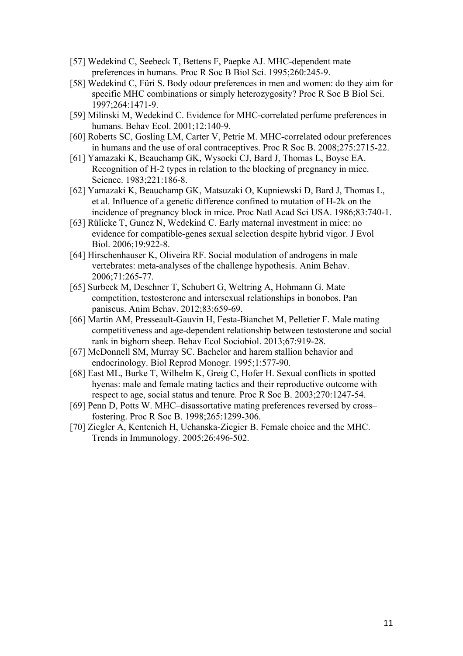- [57] Wedekind C, Seebeck T, Bettens F, Paepke AJ. MHC-dependent mate preferences in humans. Proc R Soc B Biol Sci. 1995;260:245-9.
- [58] Wedekind C, Füri S. Body odour preferences in men and women: do they aim for specific MHC combinations or simply heterozygosity? Proc R Soc B Biol Sci. 1997;264:1471-9.
- [59] Milinski M, Wedekind C. Evidence for MHC-correlated perfume preferences in humans. Behav Ecol. 2001;12:140-9.
- [60] Roberts SC, Gosling LM, Carter V, Petrie M. MHC-correlated odour preferences in humans and the use of oral contraceptives. Proc R Soc B. 2008;275:2715-22.
- [61] Yamazaki K, Beauchamp GK, Wysocki CJ, Bard J, Thomas L, Boyse EA. Recognition of H-2 types in relation to the blocking of pregnancy in mice. Science. 1983;221:186-8.
- [62] Yamazaki K, Beauchamp GK, Matsuzaki O, Kupniewski D, Bard J, Thomas L, et al. Influence of a genetic difference confined to mutation of H-2k on the incidence of pregnancy block in mice. Proc Natl Acad Sci USA. 1986;83:740-1.
- [63] Rülicke T, Guncz N, Wedekind C. Early maternal investment in mice: no evidence for compatible-genes sexual selection despite hybrid vigor. J Evol Biol. 2006;19:922-8.
- [64] Hirschenhauser K, Oliveira RF. Social modulation of androgens in male vertebrates: meta-analyses of the challenge hypothesis. Anim Behav. 2006;71:265-77.
- [65] Surbeck M, Deschner T, Schubert G, Weltring A, Hohmann G. Mate competition, testosterone and intersexual relationships in bonobos, Pan paniscus. Anim Behav. 2012;83:659-69.
- [66] Martin AM, Presseault-Gauvin H, Festa-Bianchet M, Pelletier F. Male mating competitiveness and age-dependent relationship between testosterone and social rank in bighorn sheep. Behav Ecol Sociobiol. 2013;67:919-28.
- [67] McDonnell SM, Murray SC. Bachelor and harem stallion behavior and endocrinology. Biol Reprod Monogr. 1995;1:577-90.
- [68] East ML, Burke T, Wilhelm K, Greig C, Hofer H. Sexual conflicts in spotted hyenas: male and female mating tactics and their reproductive outcome with respect to age, social status and tenure. Proc R Soc B. 2003;270:1247-54.
- [69] Penn D, Potts W. MHC–disassortative mating preferences reversed by cross– fostering. Proc R Soc B. 1998;265:1299-306.
- [70] Ziegler A, Kentenich H, Uchanska-Ziegier B. Female choice and the MHC. Trends in Immunology. 2005;26:496-502.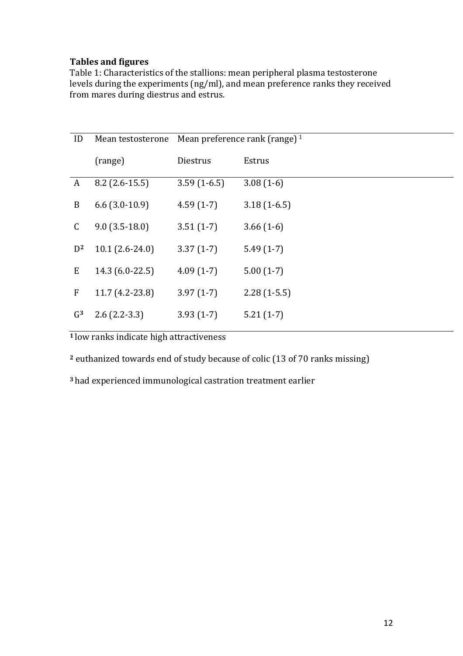# **Tables and figures**

Table 1: Characteristics of the stallions: mean peripheral plasma testosterone levels during the experiments (ng/ml), and mean preference ranks they received from mares during diestrus and estrus.

| ID               | Mean testosterone | Mean preference rank (range) $1$ |               |
|------------------|-------------------|----------------------------------|---------------|
|                  | (range)           | Diestrus                         | Estrus        |
| A                | $8.2$ (2.6-15.5)  | $3.59(1-6.5)$                    | $3.08(1-6)$   |
| B                | $6.6$ (3.0-10.9)  | $4.59(1-7)$                      | $3.18(1-6.5)$ |
| C                | $9.0(3.5-18.0)$   | $3.51(1-7)$                      | $3.66(1-6)$   |
| $D^2$            | $10.1(2.6-24.0)$  | $3.37(1-7)$                      | $5.49(1-7)$   |
| E                | 14.3 (6.0-22.5)   | $4.09(1-7)$                      | $5.00(1-7)$   |
| $\boldsymbol{F}$ | 11.7 (4.2-23.8)   | $3.97(1-7)$                      | $2.28(1-5.5)$ |
| G <sup>3</sup>   | $2.6(2.2-3.3)$    | $3.93(1-7)$                      | $5.21(1-7)$   |

**1** low ranks indicate high attractiveness

<sup>2</sup> euthanized towards end of study because of colic (13 of 70 ranks missing)

<sup>3</sup> had experienced immunological castration treatment earlier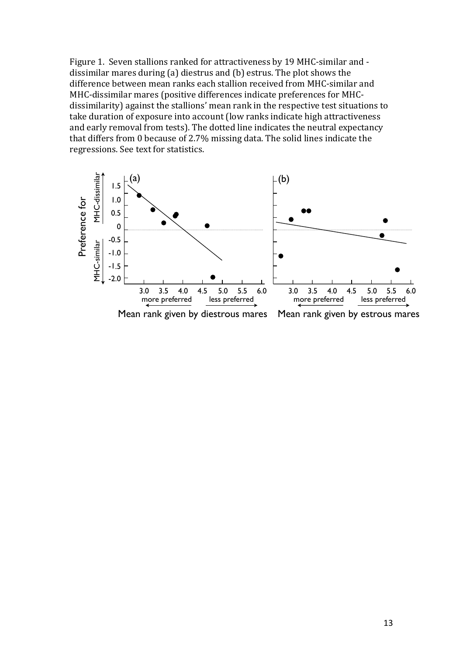Figure 1. Seven stallions ranked for attractiveness by 19 MHC-similar and dissimilar mares during  $(a)$  diestrus and  $(b)$  estrus. The plot shows the difference between mean ranks each stallion received from MHC-similar and MHC-dissimilar mares (positive differences indicate preferences for MHCdissimilarity) against the stallions' mean rank in the respective test situations to take duration of exposure into account (low ranks indicate high attractiveness and early removal from tests). The dotted line indicates the neutral expectancy that differs from 0 because of 2.7% missing data. The solid lines indicate the regressions. See text for statistics.